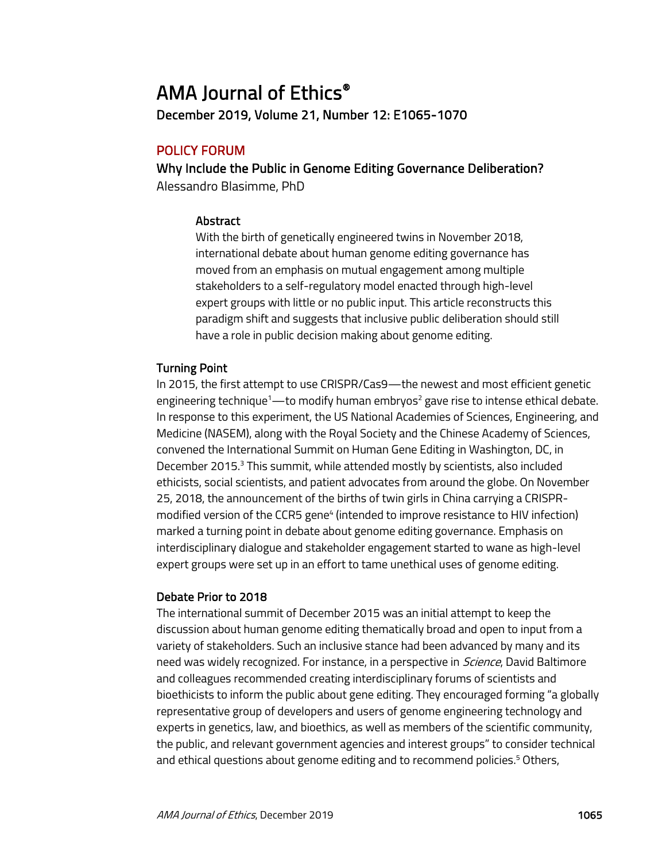# AMA Journal of Ethics®

December 2019, Volume 21, Number 12: E1065-1070

## POLICY FORUM

Why Include the Public in Genome Editing Governance Deliberation? Alessandro Blasimme, PhD

## Abstract

With the birth of genetically engineered twins in November 2018, international debate about human genome editing governance has moved from an emphasis on mutual engagement among multiple stakeholders to a self-regulatory model enacted through high-level expert groups with little or no public input. This article reconstructs this paradigm shift and suggests that inclusive public deliberation should still have a role in public decision making about genome editing.

## Turning Point

In 2015, the first attempt to use CRISPR/Cas9—the newest and most efficient genetic engineering technique $^1$ —to modify human embryos $^2$  gave rise to intense ethical debate. In response to this experiment, the US National Academies of Sciences, Engineering, and Medicine (NASEM), along with the Royal Society and the Chinese Academy of Sciences, convened the International Summit on Human Gene Editing in Washington, DC, in December 2015.<sup>3</sup> This summit, while attended mostly by scientists, also included ethicists, social scientists, and patient advocates from around the globe. On November 25, 2018, the announcement of the births of twin girls in China carrying a CRISPRmodified version of the CCR5 gene<sup>4</sup> (intended to improve resistance to HIV infection) marked a turning point in debate about genome editing governance. Emphasis on interdisciplinary dialogue and stakeholder engagement started to wane as high-level expert groups were set up in an effort to tame unethical uses of genome editing.

## Debate Prior to 2018

The international summit of December 2015 was an initial attempt to keep the discussion about human genome editing thematically broad and open to input from a variety of stakeholders. Such an inclusive stance had been advanced by many and its need was widely recognized. For instance, in a perspective in *Science*, David Baltimore and colleagues recommended creating interdisciplinary forums of scientists and bioethicists to inform the public about gene editing. They encouraged forming "a globally representative group of developers and users of genome engineering technology and experts in genetics, law, and bioethics, as well as members of the scientific community, the public, and relevant government agencies and interest groups" to consider technical and ethical questions about genome editing and to recommend policies.<sup>5</sup> Others,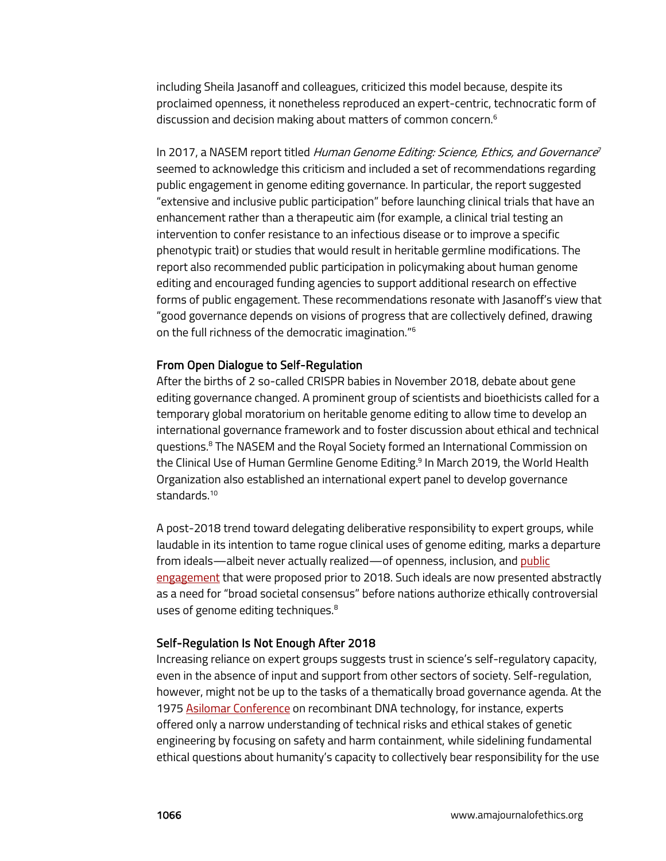including Sheila Jasanoff and colleagues, criticized this model because, despite its proclaimed openness, it nonetheless reproduced an expert-centric, technocratic form of discussion and decision making about matters of common concern.<sup>6</sup>

In 2017, a NASEM report titled Human Genome Editing: Science, Ethics, and Governance<sup>7</sup> seemed to acknowledge this criticism and included a set of recommendations regarding public engagement in genome editing governance. In particular, the report suggested "extensive and inclusive public participation" before launching clinical trials that have an enhancement rather than a therapeutic aim (for example, a clinical trial testing an intervention to confer resistance to an infectious disease or to improve a specific phenotypic trait) or studies that would result in heritable germline modifications. The report also recommended public participation in policymaking about human genome editing and encouraged funding agencies to support additional research on effective forms of public engagement. These recommendations resonate with Jasanoff's view that "good governance depends on visions of progress that are collectively defined, drawing on the full richness of the democratic imagination."6

#### From Open Dialogue to Self-Regulation

After the births of 2 so-called CRISPR babies in November 2018, debate about gene editing governance changed. A prominent group of scientists and bioethicists called for a temporary global moratorium on heritable genome editing to allow time to develop an international governance framework and to foster discussion about ethical and technical questions.8 The NASEM and the Royal Society formed an International Commission on the Clinical Use of Human Germline Genome Editing.<sup>9</sup> In March 2019, the World Health Organization also established an international expert panel to develop governance standards.<sup>10</sup>

A post-2018 trend toward delegating deliberative responsibility to expert groups, while laudable in its intention to tame rogue clinical uses of genome editing, marks a departure from ideals—albeit never actually realized—of openness, inclusion, and public [engagement](https://journalofethics.ama-assn.org/article/public-deliberation-decisions-about-health-research/2013-01) that were proposed prior to 2018. Such ideals are now presented abstractly as a need for "broad societal consensus" before nations authorize ethically controversial uses of genome editing techniques.<sup>8</sup>

#### Self-Regulation Is Not Enough After 2018

Increasing reliance on expert groups suggests trust in science's self-regulatory capacity, even in the absence of input and support from other sectors of society. Self-regulation, however, might not be up to the tasks of a thematically broad governance agenda. At the 1975 [Asilomar Conference](https://journalofethics.ama-assn.org/article/what-prudent-governance-human-genome-editing/2019-12) on recombinant DNA technology, for instance, experts offered only a narrow understanding of technical risks and ethical stakes of genetic engineering by focusing on safety and harm containment, while sidelining fundamental ethical questions about humanity's capacity to collectively bear responsibility for the use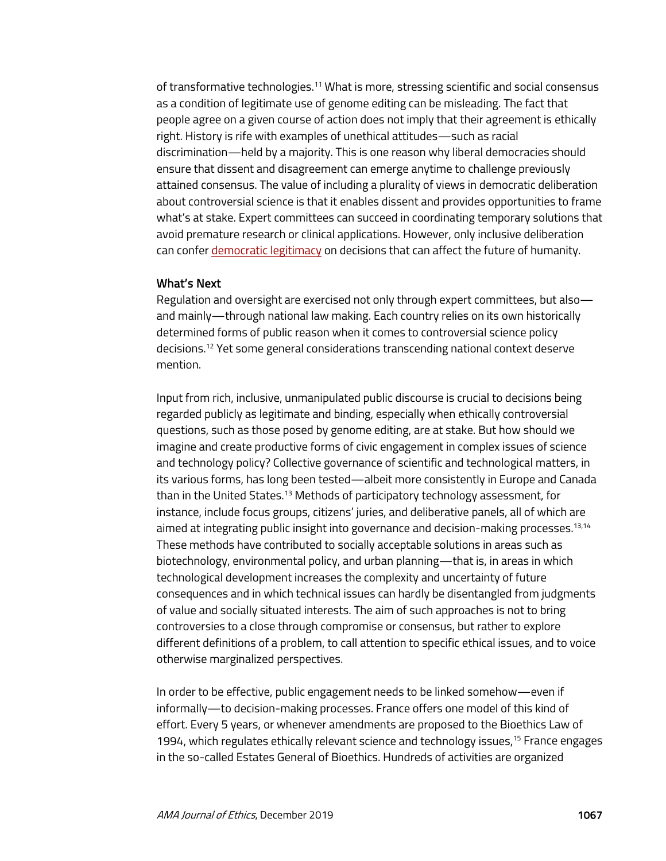of transformative technologies.<sup>11</sup> What is more, stressing scientific and social consensus as a condition of legitimate use of genome editing can be misleading. The fact that people agree on a given course of action does not imply that their agreement is ethically right. History is rife with examples of unethical attitudes—such as racial discrimination—held by a majority. This is one reason why liberal democracies should ensure that dissent and disagreement can emerge anytime to challenge previously attained consensus. The value of including a plurality of views in democratic deliberation about controversial science is that it enables dissent and provides opportunities to frame what's at stake. Expert committees can succeed in coordinating temporary solutions that avoid premature research or clinical applications. However, only inclusive deliberation can confe[r democratic legitimacy](https://journalofethics.ama-assn.org/article/idea-legitimate-authority-practice-medicine/2017-02) on decisions that can affect the future of humanity.

#### What's Next

Regulation and oversight are exercised not only through expert committees, but also and mainly—through national law making. Each country relies on its own historically determined forms of public reason when it comes to controversial science policy decisions.12 Yet some general considerations transcending national context deserve mention.

Input from rich, inclusive, unmanipulated public discourse is crucial to decisions being regarded publicly as legitimate and binding, especially when ethically controversial questions, such as those posed by genome editing, are at stake. But how should we imagine and create productive forms of civic engagement in complex issues of science and technology policy? Collective governance of scientific and technological matters, in its various forms, has long been tested—albeit more consistently in Europe and Canada than in the United States.<sup>13</sup> Methods of participatory technology assessment, for instance, include focus groups, citizens' juries, and deliberative panels, all of which are aimed at integrating public insight into governance and decision-making processes.<sup>13,14</sup> These methods have contributed to socially acceptable solutions in areas such as biotechnology, environmental policy, and urban planning—that is, in areas in which technological development increases the complexity and uncertainty of future consequences and in which technical issues can hardly be disentangled from judgments of value and socially situated interests. The aim of such approaches is not to bring controversies to a close through compromise or consensus, but rather to explore different definitions of a problem, to call attention to specific ethical issues, and to voice otherwise marginalized perspectives.

In order to be effective, public engagement needs to be linked somehow—even if informally—to decision-making processes. France offers one model of this kind of effort. Every 5 years, or whenever amendments are proposed to the Bioethics Law of 1994, which regulates ethically relevant science and technology issues,<sup>15</sup> France engages in the so-called Estates General of Bioethics. Hundreds of activities are organized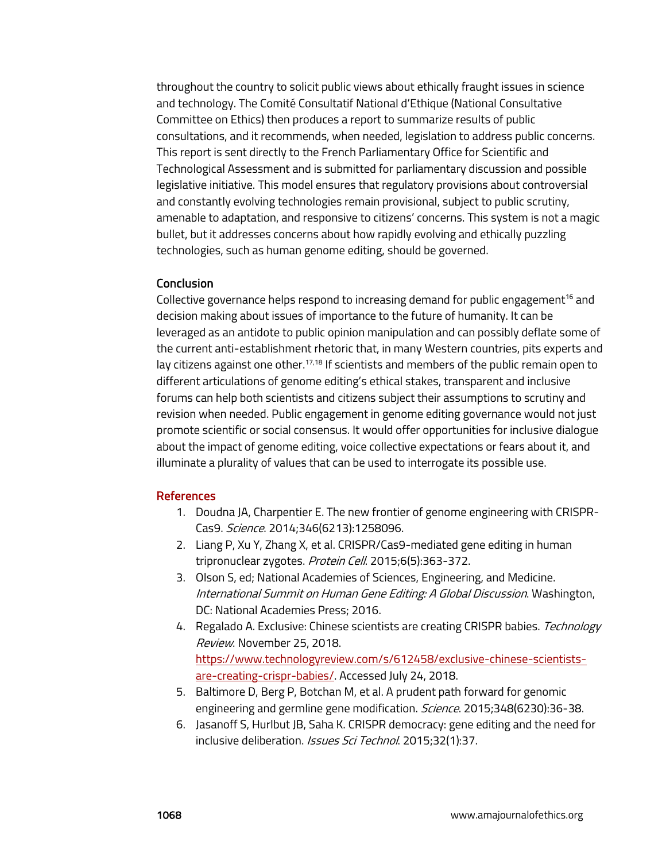throughout the country to solicit public views about ethically fraught issues in science and technology. The Comité Consultatif National d'Ethique (National Consultative Committee on Ethics) then produces a report to summarize results of public consultations, and it recommends, when needed, legislation to address public concerns. This report is sent directly to the French Parliamentary Office for Scientific and Technological Assessment and is submitted for parliamentary discussion and possible legislative initiative. This model ensures that regulatory provisions about controversial and constantly evolving technologies remain provisional, subject to public scrutiny, amenable to adaptation, and responsive to citizens' concerns. This system is not a magic bullet, but it addresses concerns about how rapidly evolving and ethically puzzling technologies, such as human genome editing, should be governed.

#### Conclusion

Collective governance helps respond to increasing demand for public engagement<sup>16</sup> and decision making about issues of importance to the future of humanity. It can be leveraged as an antidote to public opinion manipulation and can possibly deflate some of the current anti-establishment rhetoric that, in many Western countries, pits experts and lay citizens against one other.<sup>17,18</sup> If scientists and members of the public remain open to different articulations of genome editing's ethical stakes, transparent and inclusive forums can help both scientists and citizens subject their assumptions to scrutiny and revision when needed. Public engagement in genome editing governance would not just promote scientific or social consensus. It would offer opportunities for inclusive dialogue about the impact of genome editing, voice collective expectations or fears about it, and illuminate a plurality of values that can be used to interrogate its possible use.

#### References

- 1. Doudna JA, Charpentier E. The new frontier of genome engineering with CRISPR-Cas9. Science. 2014;346(6213):1258096.
- 2. Liang P, Xu Y, Zhang X, et al. CRISPR/Cas9-mediated gene editing in human tripronuclear zygotes. Protein Cell. 2015;6(5):363-372.
- 3. Olson S, ed; National Academies of Sciences, Engineering, and Medicine. International Summit on Human Gene Editing: A Global Discussion. Washington, DC: National Academies Press; 2016.
- 4. Regalado A. Exclusive: Chinese scientists are creating CRISPR babies. Technology Review. November 25, 2018. [https://www.technologyreview.com/s/612458/exclusive-chinese-scientists](https://www.technologyreview.com/s/612458/exclusive-chinese-scientists-are-creating-crispr-babies/)[are-creating-crispr-babies/.](https://www.technologyreview.com/s/612458/exclusive-chinese-scientists-are-creating-crispr-babies/) Accessed July 24, 2018.
- 5. Baltimore D, Berg P, Botchan M, et al. A prudent path forward for genomic engineering and germline gene modification. Science. 2015;348(6230):36-38.
- 6. Jasanoff S, Hurlbut JB, Saha K. CRISPR democracy: gene editing and the need for inclusive deliberation. Issues Sci Technol. 2015;32(1):37.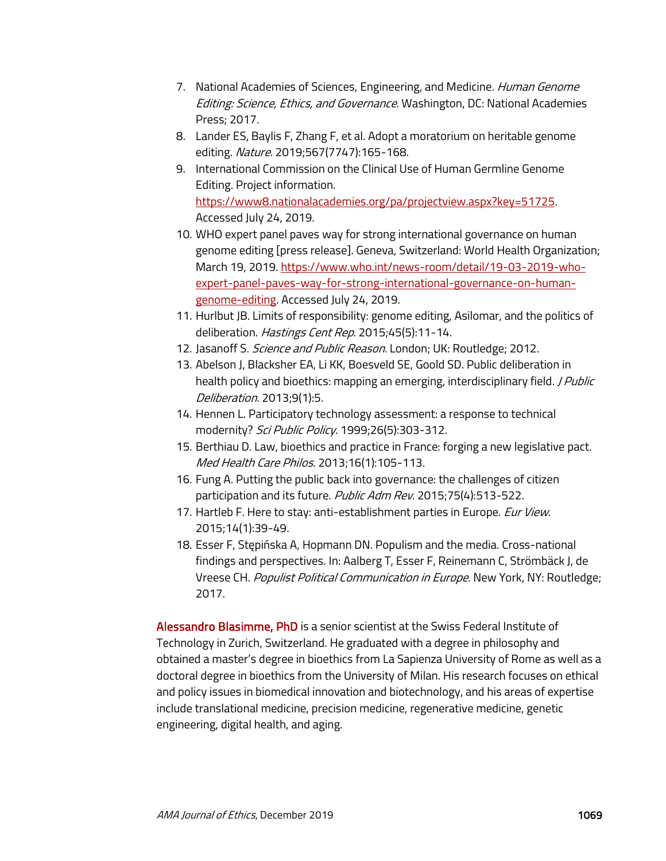- 7. National Academies of Sciences, Engineering, and Medicine. Human Genome Editing: Science, Ethics, and Governance. Washington, DC: National Academies Press; 2017.
- 8. Lander ES, Baylis F, Zhang F, et al. Adopt a moratorium on heritable genome editing. Nature. 2019;567(7747):165-168.
- 9. International Commission on the Clinical Use of Human Germline Genome Editing. Project information. [https://www8.nationalacademies.org/pa/projectview.aspx?key=51725.](https://www8.nationalacademies.org/pa/projectview.aspx?key=51725) Accessed July 24, 2019.
- 10. WHO expert panel paves way for strong international governance on human genome editing [press release]. Geneva, Switzerland: World Health Organization; March 19, 2019. [https://www.who.int/news-room/detail/19-03-2019-who](https://www.who.int/news-room/detail/19-03-2019-who-expert-panel-paves-way-for-strong-international-governance-on-human-genome-editing)[expert-panel-paves-way-for-strong-international-governance-on-human](https://www.who.int/news-room/detail/19-03-2019-who-expert-panel-paves-way-for-strong-international-governance-on-human-genome-editing)[genome-editing.](https://www.who.int/news-room/detail/19-03-2019-who-expert-panel-paves-way-for-strong-international-governance-on-human-genome-editing) Accessed July 24, 2019.
- 11. Hurlbut JB. Limits of responsibility: genome editing, Asilomar, and the politics of deliberation. Hastings Cent Rep. 2015;45(5):11-14.
- 12. Jasanoff S. Science and Public Reason. London; UK: Routledge; 2012.
- 13. Abelson J, Blacksher EA, Li KK, Boesveld SE, Goold SD. Public deliberation in health policy and bioethics: mapping an emerging, interdisciplinary field. *J Public* Deliberation. 2013;9(1):5.
- 14. Hennen L. Participatory technology assessment: a response to technical modernity? Sci Public Policy. 1999;26(5):303-312.
- 15. Berthiau D. Law, bioethics and practice in France: forging a new legislative pact. Med Health Care Philos. 2013;16(1):105-113.
- 16. Fung A. Putting the public back into governance: the challenges of citizen participation and its future. Public Adm Rev. 2015;75(4):513-522.
- 17. Hartleb F. Here to stay: anti-establishment parties in Europe. Eur View. 2015;14(1):39-49.
- 18. Esser F, Stępińska A, Hopmann DN. Populism and the media. Cross-national findings and perspectives. In: Aalberg T, Esser F, Reinemann C, Strömbäck J, de Vreese CH. Populist Political Communication in Europe. New York, NY: Routledge; 2017.

Alessandro Blasimme, PhD is a senior scientist at the Swiss Federal Institute of Technology in Zurich, Switzerland. He graduated with a degree in philosophy and obtained a master's degree in bioethics from La Sapienza University of Rome as well as a doctoral degree in bioethics from the University of Milan. His research focuses on ethical and policy issues in biomedical innovation and biotechnology, and his areas of expertise include translational medicine, precision medicine, regenerative medicine, genetic engineering, digital health, and aging.